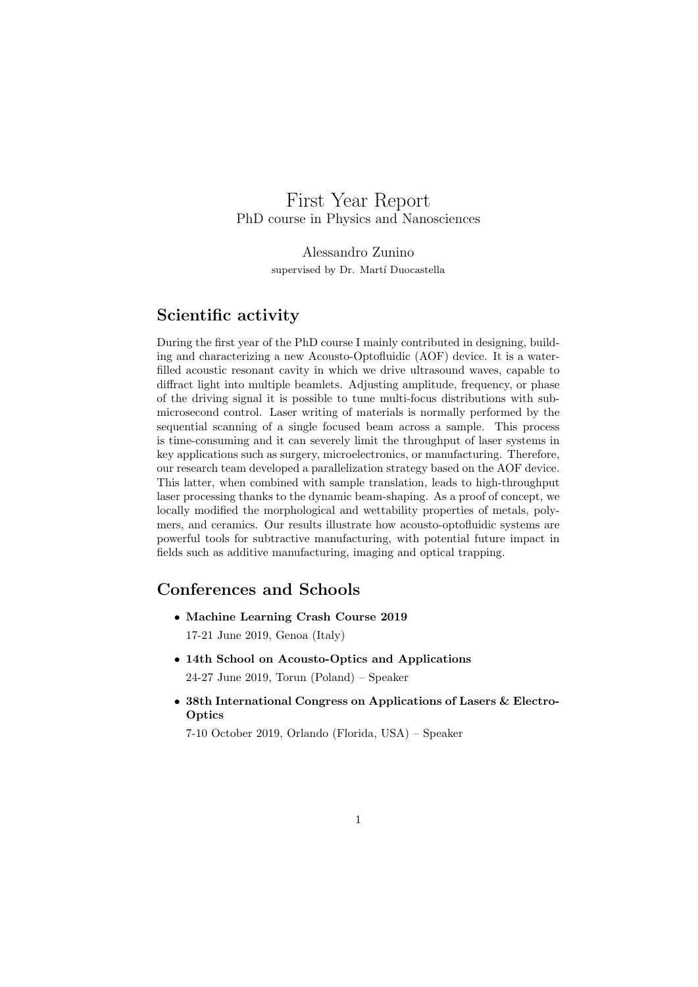# First Year Report PhD course in Physics and Nanosciences

Alessandro Zunino supervised by Dr. Martí Duocastella

## Scientific activity

During the first year of the PhD course I mainly contributed in designing, building and characterizing a new Acousto-Optofluidic (AOF) device. It is a waterfilled acoustic resonant cavity in which we drive ultrasound waves, capable to diffract light into multiple beamlets. Adjusting amplitude, frequency, or phase of the driving signal it is possible to tune multi-focus distributions with submicrosecond control. Laser writing of materials is normally performed by the sequential scanning of a single focused beam across a sample. This process is time-consuming and it can severely limit the throughput of laser systems in key applications such as surgery, microelectronics, or manufacturing. Therefore, our research team developed a parallelization strategy based on the AOF device. This latter, when combined with sample translation, leads to high-throughput laser processing thanks to the dynamic beam-shaping. As a proof of concept, we locally modified the morphological and wettability properties of metals, polymers, and ceramics. Our results illustrate how acousto-optofluidic systems are powerful tools for subtractive manufacturing, with potential future impact in fields such as additive manufacturing, imaging and optical trapping.

# Conferences and Schools

- Machine Learning Crash Course 2019 17-21 June 2019, Genoa (Italy)
- 14th School on Acousto-Optics and Applications 24-27 June 2019, Torun (Poland) – Speaker
- 38th International Congress on Applications of Lasers & Electro-**Optics**

7-10 October 2019, Orlando (Florida, USA) – Speaker